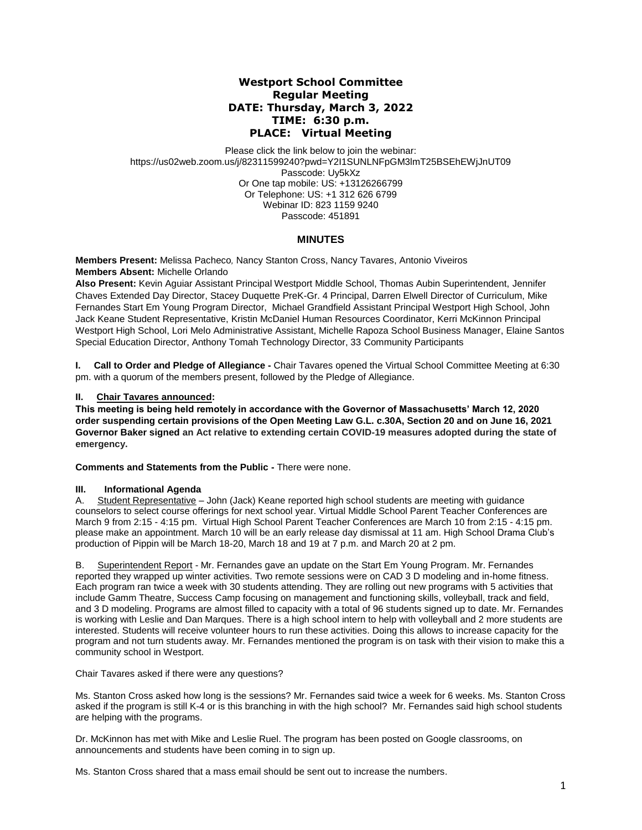# **Westport School Committee Regular Meeting DATE: Thursday, March 3, 2022 TIME: 6:30 p.m. PLACE: Virtual Meeting**

Please click the link below to join the webinar: https://us02web.zoom.us/j/82311599240?pwd=Y2I1SUNLNFpGM3lmT25BSEhEWjJnUT09 Passcode: Uy5kXz Or One tap mobile: US: +13126266799 Or Telephone: US: +1 312 626 6799 Webinar ID: 823 1159 9240 Passcode: 451891

## **MINUTES**

**Members Present:** Melissa Pacheco*,* Nancy Stanton Cross, Nancy Tavares, Antonio Viveiros **Members Absent:** Michelle Orlando

**Also Present:** Kevin Aguiar Assistant Principal Westport Middle School, Thomas Aubin Superintendent, Jennifer Chaves Extended Day Director, Stacey Duquette PreK-Gr. 4 Principal, Darren Elwell Director of Curriculum, Mike Fernandes Start Em Young Program Director, Michael Grandfield Assistant Principal Westport High School, John Jack Keane Student Representative, Kristin McDaniel Human Resources Coordinator, Kerri McKinnon Principal Westport High School, Lori Melo Administrative Assistant, Michelle Rapoza School Business Manager, Elaine Santos Special Education Director, Anthony Tomah Technology Director, 33 Community Participants

**I. Call to Order and Pledge of Allegiance -** Chair Tavares opened the Virtual School Committee Meeting at 6:30 pm. with a quorum of the members present, followed by the Pledge of Allegiance.

## **II. Chair Tavares announced:**

**This meeting is being held remotely in accordance with the Governor of Massachusetts' March 12, 2020 order suspending certain provisions of the Open Meeting Law G.L. c.30A, Section 20 and on June 16, 2021 Governor Baker signed an Act relative to extending certain COVID-19 measures adopted during the state of emergency.**

**Comments and Statements from the Public -** There were none.

### **III. Informational Agenda**

A. Student Representative – John (Jack) Keane reported high school students are meeting with guidance counselors to select course offerings for next school year. Virtual Middle School Parent Teacher Conferences are March 9 from 2:15 - 4:15 pm. Virtual High School Parent Teacher Conferences are March 10 from 2:15 - 4:15 pm. please make an appointment. March 10 will be an early release day dismissal at 11 am. High School Drama Club's production of Pippin will be March 18-20, March 18 and 19 at 7 p.m. and March 20 at 2 pm.

B. Superintendent Report - Mr. Fernandes gave an update on the Start Em Young Program. Mr. Fernandes reported they wrapped up winter activities. Two remote sessions were on CAD 3 D modeling and in-home fitness. Each program ran twice a week with 30 students attending. They are rolling out new programs with 5 activities that include Gamm Theatre, Success Camp focusing on management and functioning skills, volleyball, track and field, and 3 D modeling. Programs are almost filled to capacity with a total of 96 students signed up to date. Mr. Fernandes is working with Leslie and Dan Marques. There is a high school intern to help with volleyball and 2 more students are interested. Students will receive volunteer hours to run these activities. Doing this allows to increase capacity for the program and not turn students away. Mr. Fernandes mentioned the program is on task with their vision to make this a community school in Westport.

Chair Tavares asked if there were any questions?

Ms. Stanton Cross asked how long is the sessions? Mr. Fernandes said twice a week for 6 weeks. Ms. Stanton Cross asked if the program is still K-4 or is this branching in with the high school? Mr. Fernandes said high school students are helping with the programs.

Dr. McKinnon has met with Mike and Leslie Ruel. The program has been posted on Google classrooms, on announcements and students have been coming in to sign up.

Ms. Stanton Cross shared that a mass email should be sent out to increase the numbers.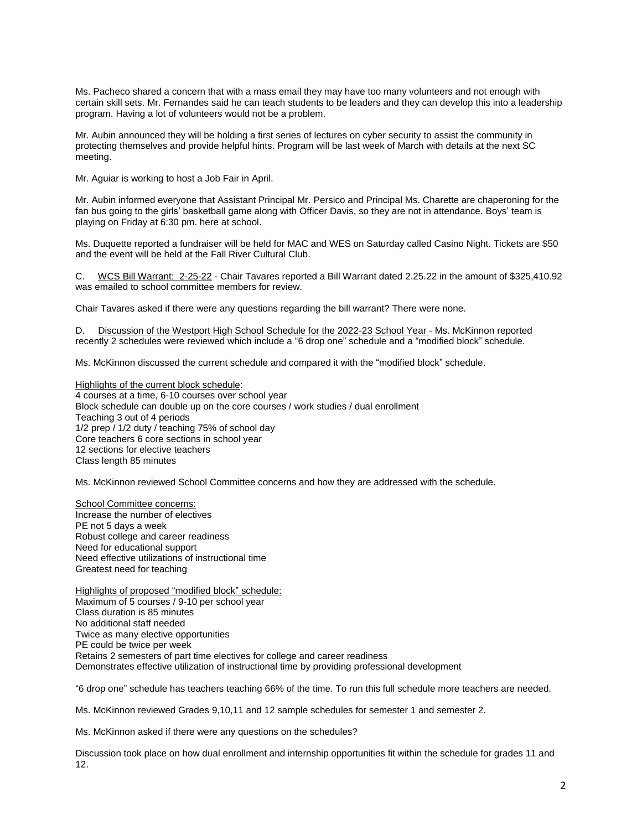Ms. Pacheco shared a concern that with a mass email they may have too many volunteers and not enough with certain skill sets. Mr. Fernandes said he can teach students to be leaders and they can develop this into a leadership program. Having a lot of volunteers would not be a problem.

Mr. Aubin announced they will be holding a first series of lectures on cyber security to assist the community in protecting themselves and provide helpful hints. Program will be last week of March with details at the next SC meeting.

Mr. Aguiar is working to host a Job Fair in April.

Mr. Aubin informed everyone that Assistant Principal Mr. Persico and Principal Ms. Charette are chaperoning for the fan bus going to the girls' basketball game along with Officer Davis, so they are not in attendance. Boys' team is playing on Friday at 6:30 pm. here at school.

Ms. Duquette reported a fundraiser will be held for MAC and WES on Saturday called Casino Night. Tickets are \$50 and the event will be held at the Fall River Cultural Club.

C. WCS Bill Warrant: 2-25-22 - Chair Tavares reported a Bill Warrant dated 2.25.22 in the amount of \$325,410.92 was emailed to school committee members for review.

Chair Tavares asked if there were any questions regarding the bill warrant? There were none.

D. Discussion of the Westport High School Schedule for the 2022-23 School Year - Ms. McKinnon reported recently 2 schedules were reviewed which include a "6 drop one" schedule and a "modified block" schedule.

Ms. McKinnon discussed the current schedule and compared it with the "modified block" schedule.

Highlights of the current block schedule: 4 courses at a time, 6-10 courses over school year Block schedule can double up on the core courses / work studies / dual enrollment Teaching 3 out of 4 periods 1/2 prep / 1/2 duty / teaching 75% of school day Core teachers 6 core sections in school year 12 sections for elective teachers Class length 85 minutes

Ms. McKinnon reviewed School Committee concerns and how they are addressed with the schedule.

School Committee concerns: Increase the number of electives PE not 5 days a week Robust college and career readiness Need for educational support Need effective utilizations of instructional time Greatest need for teaching

Highlights of proposed "modified block" schedule: Maximum of 5 courses / 9-10 per school year Class duration is 85 minutes No additional staff needed Twice as many elective opportunities PE could be twice per week Retains 2 semesters of part time electives for college and career readiness Demonstrates effective utilization of instructional time by providing professional development

"6 drop one" schedule has teachers teaching 66% of the time. To run this full schedule more teachers are needed.

Ms. McKinnon reviewed Grades 9,10,11 and 12 sample schedules for semester 1 and semester 2.

Ms. McKinnon asked if there were any questions on the schedules?

Discussion took place on how dual enrollment and internship opportunities fit within the schedule for grades 11 and 12.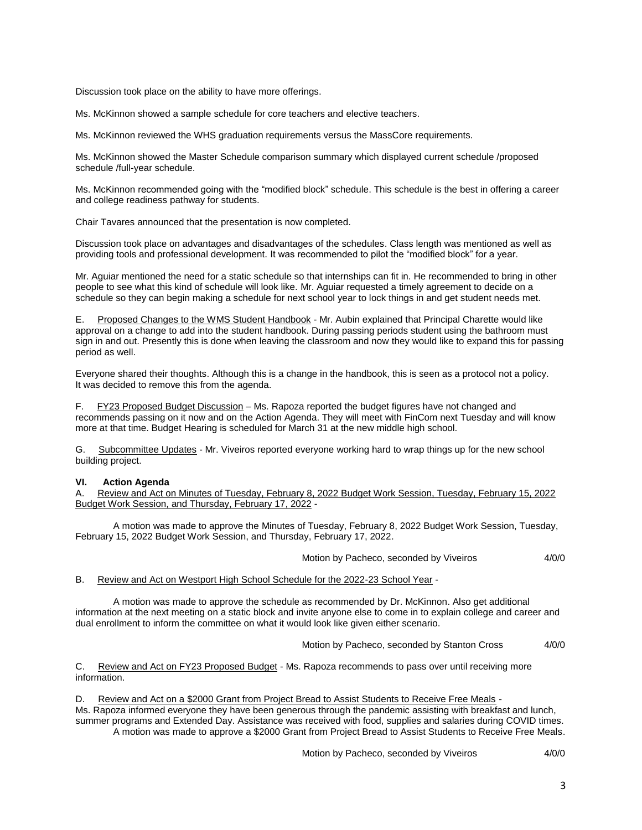Discussion took place on the ability to have more offerings.

Ms. McKinnon showed a sample schedule for core teachers and elective teachers.

Ms. McKinnon reviewed the WHS graduation requirements versus the MassCore requirements.

Ms. McKinnon showed the Master Schedule comparison summary which displayed current schedule /proposed schedule /full-year schedule.

Ms. McKinnon recommended going with the "modified block" schedule. This schedule is the best in offering a career and college readiness pathway for students.

Chair Tavares announced that the presentation is now completed.

Discussion took place on advantages and disadvantages of the schedules. Class length was mentioned as well as providing tools and professional development. It was recommended to pilot the "modified block" for a year.

Mr. Aguiar mentioned the need for a static schedule so that internships can fit in. He recommended to bring in other people to see what this kind of schedule will look like. Mr. Aguiar requested a timely agreement to decide on a schedule so they can begin making a schedule for next school year to lock things in and get student needs met.

E. Proposed Changes to the WMS Student Handbook - Mr. Aubin explained that Principal Charette would like approval on a change to add into the student handbook. During passing periods student using the bathroom must sign in and out. Presently this is done when leaving the classroom and now they would like to expand this for passing period as well.

Everyone shared their thoughts. Although this is a change in the handbook, this is seen as a protocol not a policy. It was decided to remove this from the agenda.

F. FY23 Proposed Budget Discussion – Ms. Rapoza reported the budget figures have not changed and recommends passing on it now and on the Action Agenda. They will meet with FinCom next Tuesday and will know more at that time. Budget Hearing is scheduled for March 31 at the new middle high school.

G. Subcommittee Updates - Mr. Viveiros reported everyone working hard to wrap things up for the new school building project.

#### **VI. Action Agenda**

A. Review and Act on Minutes of Tuesday, February 8, 2022 Budget Work Session, Tuesday, February 15, 2022 Budget Work Session, and Thursday, February 17, 2022 -

A motion was made to approve the Minutes of Tuesday, February 8, 2022 Budget Work Session, Tuesday, February 15, 2022 Budget Work Session, and Thursday, February 17, 2022.

Motion by Pacheco, seconded by Viveiros 4/0/0

#### B. Review and Act on Westport High School Schedule for the 2022-23 School Year -

A motion was made to approve the schedule as recommended by Dr. McKinnon. Also get additional information at the next meeting on a static block and invite anyone else to come in to explain college and career and dual enrollment to inform the committee on what it would look like given either scenario.

Motion by Pacheco, seconded by Stanton Cross 4/0/0

C. Review and Act on FY23 Proposed Budget - Ms. Rapoza recommends to pass over until receiving more information.

D. Review and Act on a \$2000 Grant from Project Bread to Assist Students to Receive Free Meals -

Ms. Rapoza informed everyone they have been generous through the pandemic assisting with breakfast and lunch, summer programs and Extended Day. Assistance was received with food, supplies and salaries during COVID times.

A motion was made to approve a \$2000 Grant from Project Bread to Assist Students to Receive Free Meals.

Motion by Pacheco, seconded by Viveiros 4/0/0